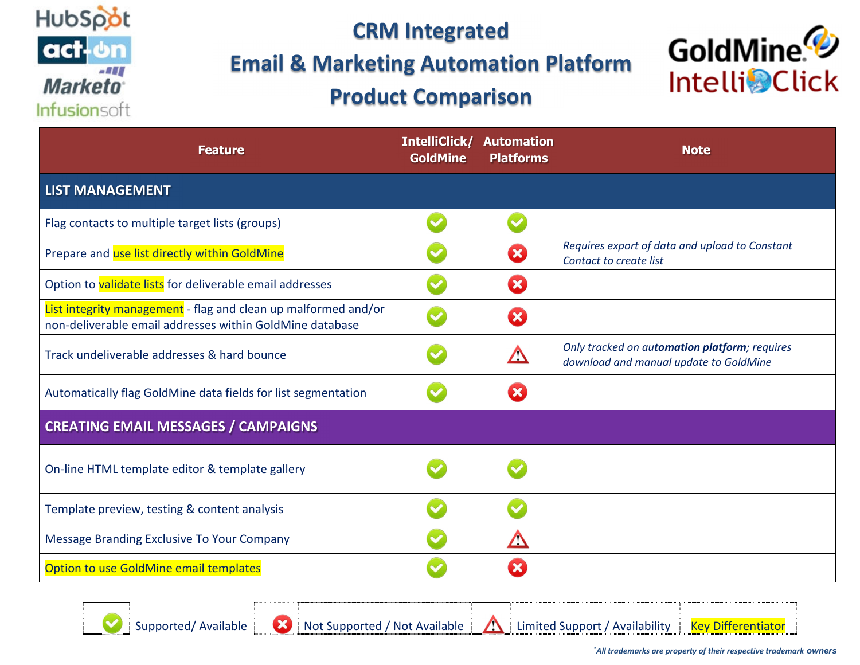

#### **Email & Marketing Automation Platform**

# **Product Comparison**



| <b>Feature</b>                                                                                                             | IntelliClick/<br><b>GoldMine</b> | <b>Automation</b><br><b>Platforms</b> | <b>Note</b>                                                                             |
|----------------------------------------------------------------------------------------------------------------------------|----------------------------------|---------------------------------------|-----------------------------------------------------------------------------------------|
| <b>LIST MANAGEMENT</b>                                                                                                     |                                  |                                       |                                                                                         |
| Flag contacts to multiple target lists (groups)                                                                            |                                  |                                       |                                                                                         |
| Prepare and use list directly within GoldMine                                                                              |                                  | Œ                                     | Requires export of data and upload to Constant<br>Contact to create list                |
| Option to validate lists for deliverable email addresses                                                                   |                                  | ×                                     |                                                                                         |
| List integrity management - flag and clean up malformed and/or<br>non-deliverable email addresses within GoldMine database |                                  | $\mathbf x$                           |                                                                                         |
| Track undeliverable addresses & hard bounce                                                                                |                                  |                                       | Only tracked on automation platform; requires<br>download and manual update to GoldMine |
| Automatically flag GoldMine data fields for list segmentation                                                              |                                  |                                       |                                                                                         |
| <b>CREATING EMAIL MESSAGES / CAMPAIGNS</b>                                                                                 |                                  |                                       |                                                                                         |
| On-line HTML template editor & template gallery                                                                            |                                  |                                       |                                                                                         |
| Template preview, testing & content analysis                                                                               |                                  |                                       |                                                                                         |
| Message Branding Exclusive To Your Company                                                                                 |                                  | Δ                                     |                                                                                         |
| Option to use GoldMine email templates                                                                                     |                                  | $\boldsymbol{\mathsf{x}}$             |                                                                                         |

Supported/ Available Not Supported / Not Available Limited Support / AvailabilityKey Differentiator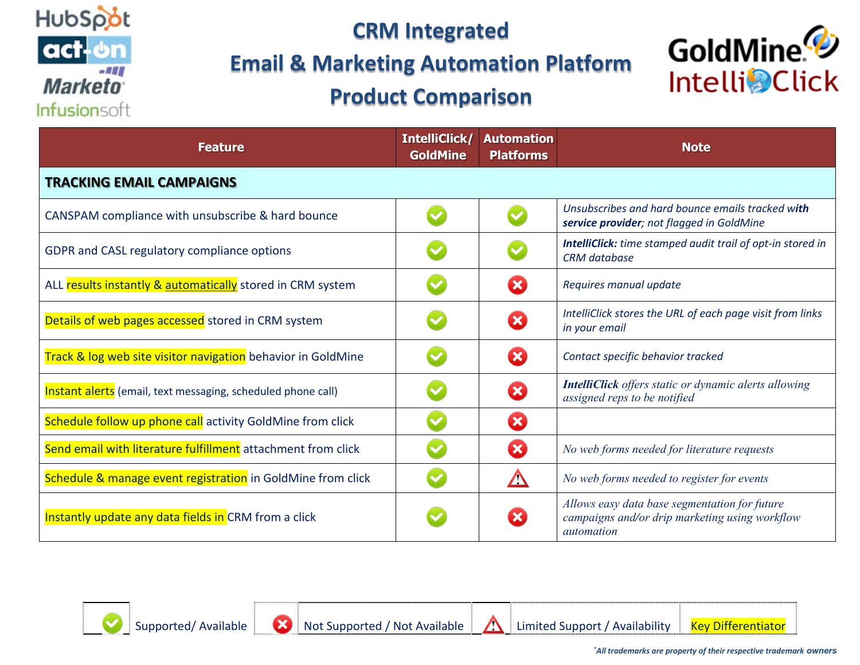

#### **Email & Marketing Automation Platform**

# **Product Comparison**



| <b>Feature</b>                                               | IntelliClick/<br><b>GoldMine</b> | <b>Automation</b><br><b>Platforms</b> | <b>Note</b>                                                                                                          |
|--------------------------------------------------------------|----------------------------------|---------------------------------------|----------------------------------------------------------------------------------------------------------------------|
| <b>TRACKING EMAIL CAMPAIGNS</b>                              |                                  |                                       |                                                                                                                      |
| CANSPAM compliance with unsubscribe & hard bounce            |                                  |                                       | Unsubscribes and hard bounce emails tracked with<br>service provider; not flagged in GoldMine                        |
| GDPR and CASL regulatory compliance options                  |                                  |                                       | IntelliClick: time stamped audit trail of opt-in stored in<br><b>CRM</b> database                                    |
| ALL results instantly & automatically stored in CRM system   |                                  | ×                                     | Requires manual update                                                                                               |
| Details of web pages accessed stored in CRM system           |                                  | $\boldsymbol{\alpha}$                 | IntelliClick stores the URL of each page visit from links<br>in your email                                           |
| Track & log web site visitor navigation behavior in GoldMine |                                  | ×                                     | Contact specific behavior tracked                                                                                    |
| Instant alerts (email, text messaging, scheduled phone call) |                                  | $\boldsymbol{\Omega}$                 | <b>IntelliClick</b> offers static or dynamic alerts allowing<br>assigned reps to be notified                         |
| Schedule follow up phone call activity GoldMine from click   |                                  | $\mathbf x$                           |                                                                                                                      |
| Send email with literature fulfillment attachment from click |                                  | $\boldsymbol{\mathcal{Z}}$            | No web forms needed for literature requests                                                                          |
| Schedule & manage event registration in GoldMine from click  |                                  |                                       | No web forms needed to register for events                                                                           |
| Instantly update any data fields in CRM from a click         |                                  | $\mathbf x$                           | Allows easy data base segmentation for future<br>campaigns and/or drip marketing using workflow<br><i>automation</i> |

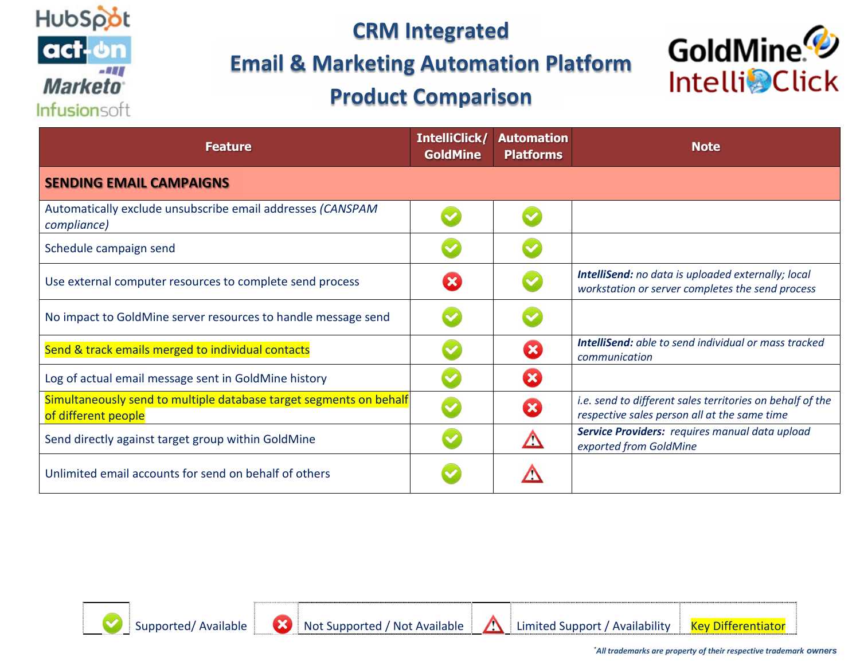

#### **Email & Marketing Automation Platform**

# **Product Comparison**



| <b>Feature</b>                                                                            | IntelliClick/<br><b>GoldMine</b> | <b>Automation</b><br><b>Platforms</b> | <b>Note</b>                                                                                               |
|-------------------------------------------------------------------------------------------|----------------------------------|---------------------------------------|-----------------------------------------------------------------------------------------------------------|
| <b>SENDING EMAIL CAMPAIGNS</b>                                                            |                                  |                                       |                                                                                                           |
| Automatically exclude unsubscribe email addresses (CANSPAM<br>compliance)                 |                                  |                                       |                                                                                                           |
| Schedule campaign send                                                                    |                                  |                                       |                                                                                                           |
| Use external computer resources to complete send process                                  | 8                                |                                       | IntelliSend: no data is uploaded externally; local<br>workstation or server completes the send process    |
| No impact to GoldMine server resources to handle message send                             |                                  |                                       |                                                                                                           |
| Send & track emails merged to individual contacts                                         |                                  | $\boldsymbol{\mathsf{x}}$             | <b>IntelliSend:</b> able to send individual or mass tracked<br>communication                              |
| Log of actual email message sent in GoldMine history                                      |                                  | $\mathbf x$                           |                                                                                                           |
| Simultaneously send to multiple database target segments on behalf<br>of different people |                                  | $\mathbf{x}$                          | i.e. send to different sales territories on behalf of the<br>respective sales person all at the same time |
| Send directly against target group within GoldMine                                        |                                  |                                       | Service Providers: requires manual data upload<br>exported from GoldMine                                  |
| Unlimited email accounts for send on behalf of others                                     |                                  |                                       |                                                                                                           |

Supported/ Available Not Supported / Not Available Limited Support / AvailabilityKey Differentiator